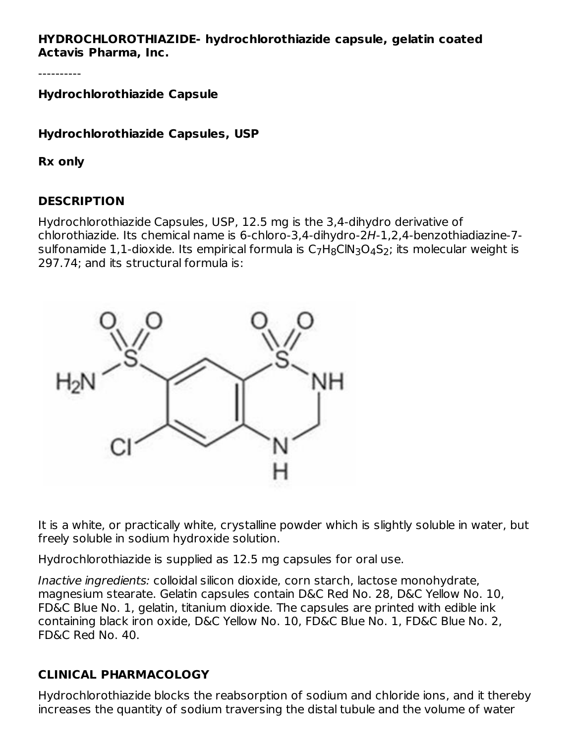**HYDROCHLOROTHIAZIDE- hydrochlorothiazide capsule, gelatin coated Actavis Pharma, Inc.**

----------

**Hydrochlorothiazide Capsule**

**Hydrochlorothiazide Capsules, USP**

**Rx only**

#### **DESCRIPTION**

Hydrochlorothiazide Capsules, USP, 12.5 mg is the 3,4-dihydro derivative of chlorothiazide. Its chemical name is 6-chloro-3,4-dihydro-2H-1,2,4-benzothiadiazine-7 sulfonamide 1,1-dioxide. Its empirical formula is  $\mathsf{C}_7\mathsf{H}_8\mathsf{CIN}_3\mathsf{O}_4\mathsf{S}_2$ ; its molecular weight is 297.74; and its structural formula is:



It is a white, or practically white, crystalline powder which is slightly soluble in water, but freely soluble in sodium hydroxide solution.

Hydrochlorothiazide is supplied as 12.5 mg capsules for oral use.

Inactive ingredients: colloidal silicon dioxide, corn starch, lactose monohydrate, magnesium stearate. Gelatin capsules contain D&C Red No. 28, D&C Yellow No. 10, FD&C Blue No. 1, gelatin, titanium dioxide. The capsules are printed with edible ink containing black iron oxide, D&C Yellow No. 10, FD&C Blue No. 1, FD&C Blue No. 2, FD&C Red No. 40.

### **CLINICAL PHARMACOLOGY**

Hydrochlorothiazide blocks the reabsorption of sodium and chloride ions, and it thereby increases the quantity of sodium traversing the distal tubule and the volume of water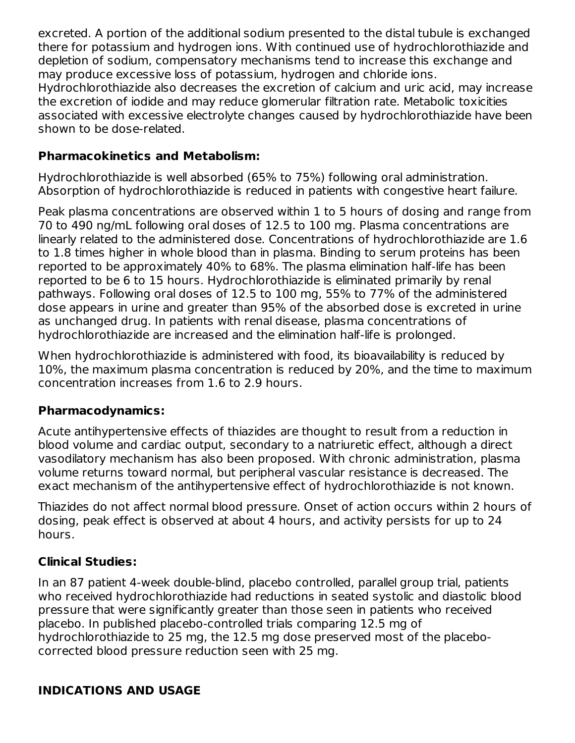excreted. A portion of the additional sodium presented to the distal tubule is exchanged there for potassium and hydrogen ions. With continued use of hydrochlorothiazide and depletion of sodium, compensatory mechanisms tend to increase this exchange and may produce excessive loss of potassium, hydrogen and chloride ions.

Hydrochlorothiazide also decreases the excretion of calcium and uric acid, may increase the excretion of iodide and may reduce glomerular filtration rate. Metabolic toxicities associated with excessive electrolyte changes caused by hydrochlorothiazide have been shown to be dose-related.

### **Pharmacokinetics and Metabolism:**

Hydrochlorothiazide is well absorbed (65% to 75%) following oral administration. Absorption of hydrochlorothiazide is reduced in patients with congestive heart failure.

Peak plasma concentrations are observed within 1 to 5 hours of dosing and range from 70 to 490 ng/mL following oral doses of 12.5 to 100 mg. Plasma concentrations are linearly related to the administered dose. Concentrations of hydrochlorothiazide are 1.6 to 1.8 times higher in whole blood than in plasma. Binding to serum proteins has been reported to be approximately 40% to 68%. The plasma elimination half-life has been reported to be 6 to 15 hours. Hydrochlorothiazide is eliminated primarily by renal pathways. Following oral doses of 12.5 to 100 mg, 55% to 77% of the administered dose appears in urine and greater than 95% of the absorbed dose is excreted in urine as unchanged drug. In patients with renal disease, plasma concentrations of hydrochlorothiazide are increased and the elimination half-life is prolonged.

When hydrochlorothiazide is administered with food, its bioavailability is reduced by 10%, the maximum plasma concentration is reduced by 20%, and the time to maximum concentration increases from 1.6 to 2.9 hours.

### **Pharmacodynamics:**

Acute antihypertensive effects of thiazides are thought to result from a reduction in blood volume and cardiac output, secondary to a natriuretic effect, although a direct vasodilatory mechanism has also been proposed. With chronic administration, plasma volume returns toward normal, but peripheral vascular resistance is decreased. The exact mechanism of the antihypertensive effect of hydrochlorothiazide is not known.

Thiazides do not affect normal blood pressure. Onset of action occurs within 2 hours of dosing, peak effect is observed at about 4 hours, and activity persists for up to 24 hours.

### **Clinical Studies:**

In an 87 patient 4-week double-blind, placebo controlled, parallel group trial, patients who received hydrochlorothiazide had reductions in seated systolic and diastolic blood pressure that were significantly greater than those seen in patients who received placebo. In published placebo-controlled trials comparing 12.5 mg of hydrochlorothiazide to 25 mg, the 12.5 mg dose preserved most of the placebocorrected blood pressure reduction seen with 25 mg.

### **INDICATIONS AND USAGE**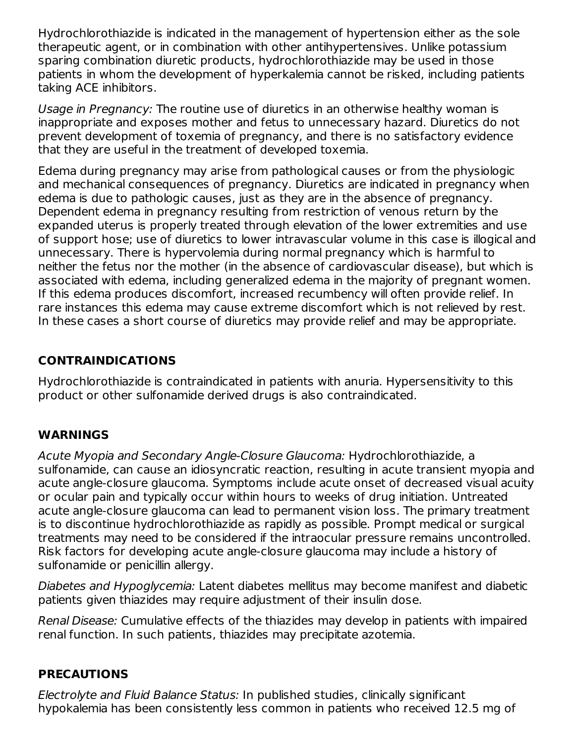Hydrochlorothiazide is indicated in the management of hypertension either as the sole therapeutic agent, or in combination with other antihypertensives. Unlike potassium sparing combination diuretic products, hydrochlorothiazide may be used in those patients in whom the development of hyperkalemia cannot be risked, including patients taking ACE inhibitors.

Usage in Pregnancy: The routine use of diuretics in an otherwise healthy woman is inappropriate and exposes mother and fetus to unnecessary hazard. Diuretics do not prevent development of toxemia of pregnancy, and there is no satisfactory evidence that they are useful in the treatment of developed toxemia.

Edema during pregnancy may arise from pathological causes or from the physiologic and mechanical consequences of pregnancy. Diuretics are indicated in pregnancy when edema is due to pathologic causes, just as they are in the absence of pregnancy. Dependent edema in pregnancy resulting from restriction of venous return by the expanded uterus is properly treated through elevation of the lower extremities and use of support hose; use of diuretics to lower intravascular volume in this case is illogical and unnecessary. There is hypervolemia during normal pregnancy which is harmful to neither the fetus nor the mother (in the absence of cardiovascular disease), but which is associated with edema, including generalized edema in the majority of pregnant women. If this edema produces discomfort, increased recumbency will often provide relief. In rare instances this edema may cause extreme discomfort which is not relieved by rest. In these cases a short course of diuretics may provide relief and may be appropriate.

### **CONTRAINDICATIONS**

Hydrochlorothiazide is contraindicated in patients with anuria. Hypersensitivity to this product or other sulfonamide derived drugs is also contraindicated.

## **WARNINGS**

Acute Myopia and Secondary Angle-Closure Glaucoma: Hydrochlorothiazide, a sulfonamide, can cause an idiosyncratic reaction, resulting in acute transient myopia and acute angle-closure glaucoma. Symptoms include acute onset of decreased visual acuity or ocular pain and typically occur within hours to weeks of drug initiation. Untreated acute angle-closure glaucoma can lead to permanent vision loss. The primary treatment is to discontinue hydrochlorothiazide as rapidly as possible. Prompt medical or surgical treatments may need to be considered if the intraocular pressure remains uncontrolled. Risk factors for developing acute angle-closure glaucoma may include a history of sulfonamide or penicillin allergy.

Diabetes and Hypoglycemia: Latent diabetes mellitus may become manifest and diabetic patients given thiazides may require adjustment of their insulin dose.

Renal Disease: Cumulative effects of the thiazides may develop in patients with impaired renal function. In such patients, thiazides may precipitate azotemia.

### **PRECAUTIONS**

Electrolyte and Fluid Balance Status: In published studies, clinically significant hypokalemia has been consistently less common in patients who received 12.5 mg of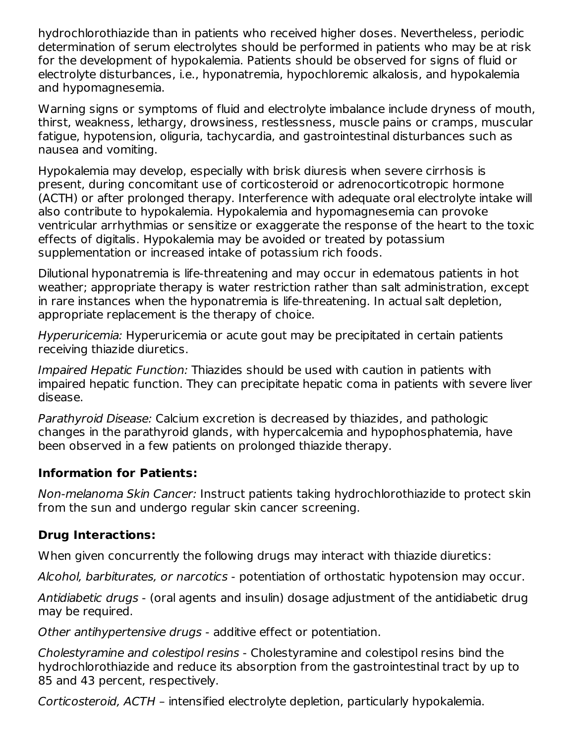hydrochlorothiazide than in patients who received higher doses. Nevertheless, periodic determination of serum electrolytes should be performed in patients who may be at risk for the development of hypokalemia. Patients should be observed for signs of fluid or electrolyte disturbances, i.e., hyponatremia, hypochloremic alkalosis, and hypokalemia and hypomagnesemia.

Warning signs or symptoms of fluid and electrolyte imbalance include dryness of mouth, thirst, weakness, lethargy, drowsiness, restlessness, muscle pains or cramps, muscular fatigue, hypotension, oliguria, tachycardia, and gastrointestinal disturbances such as nausea and vomiting.

Hypokalemia may develop, especially with brisk diuresis when severe cirrhosis is present, during concomitant use of corticosteroid or adrenocorticotropic hormone (ACTH) or after prolonged therapy. Interference with adequate oral electrolyte intake will also contribute to hypokalemia. Hypokalemia and hypomagnesemia can provoke ventricular arrhythmias or sensitize or exaggerate the response of the heart to the toxic effects of digitalis. Hypokalemia may be avoided or treated by potassium supplementation or increased intake of potassium rich foods.

Dilutional hyponatremia is life-threatening and may occur in edematous patients in hot weather; appropriate therapy is water restriction rather than salt administration, except in rare instances when the hyponatremia is life-threatening. In actual salt depletion, appropriate replacement is the therapy of choice.

Hyperuricemia: Hyperuricemia or acute gout may be precipitated in certain patients receiving thiazide diuretics.

Impaired Hepatic Function: Thiazides should be used with caution in patients with impaired hepatic function. They can precipitate hepatic coma in patients with severe liver disease.

Parathyroid Disease: Calcium excretion is decreased by thiazides, and pathologic changes in the parathyroid glands, with hypercalcemia and hypophosphatemia, have been observed in a few patients on prolonged thiazide therapy.

#### **Information for Patients:**

Non-melanoma Skin Cancer: Instruct patients taking hydrochlorothiazide to protect skin from the sun and undergo regular skin cancer screening.

### **Drug Interactions:**

When given concurrently the following drugs may interact with thiazide diuretics:

Alcohol, barbiturates, or narcotics - potentiation of orthostatic hypotension may occur.

Antidiabetic drugs - (oral agents and insulin) dosage adjustment of the antidiabetic drug may be required.

Other antihypertensive drugs - additive effect or potentiation.

Cholestyramine and colestipol resins - Cholestyramine and colestipol resins bind the hydrochlorothiazide and reduce its absorption from the gastrointestinal tract by up to 85 and 43 percent, respectively.

Corticosteroid, ACTH – intensified electrolyte depletion, particularly hypokalemia.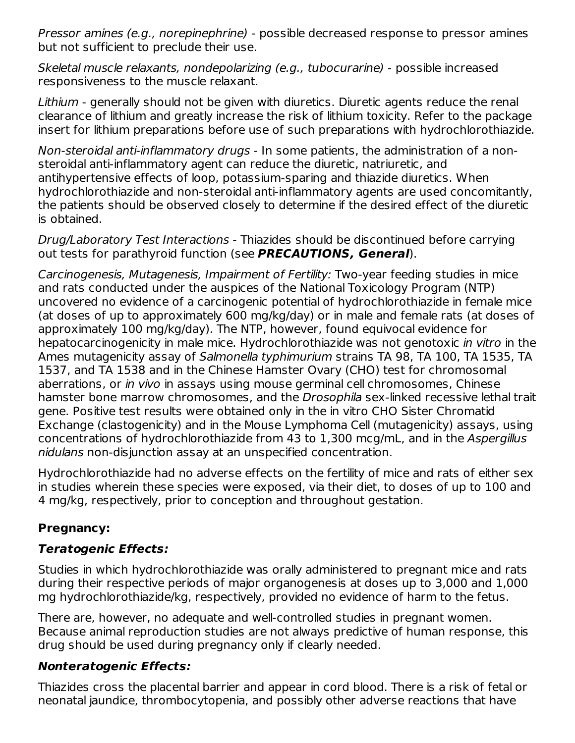Pressor amines (e.g., norepinephrine) - possible decreased response to pressor amines but not sufficient to preclude their use.

Skeletal muscle relaxants, nondepolarizing (e.g., tubocurarine) - possible increased responsiveness to the muscle relaxant.

Lithium - generally should not be given with diuretics. Diuretic agents reduce the renal clearance of lithium and greatly increase the risk of lithium toxicity. Refer to the package insert for lithium preparations before use of such preparations with hydrochlorothiazide.

Non-steroidal anti-inflammatory drugs - In some patients, the administration of a nonsteroidal anti-inflammatory agent can reduce the diuretic, natriuretic, and antihypertensive effects of loop, potassium-sparing and thiazide diuretics. When hydrochlorothiazide and non-steroidal anti-inflammatory agents are used concomitantly, the patients should be observed closely to determine if the desired effect of the diuretic is obtained.

Drug/Laboratory Test Interactions - Thiazides should be discontinued before carrying out tests for parathyroid function (see **PRECAUTIONS, General**).

Carcinogenesis, Mutagenesis, Impairment of Fertility: Two-year feeding studies in mice and rats conducted under the auspices of the National Toxicology Program (NTP) uncovered no evidence of a carcinogenic potential of hydrochlorothiazide in female mice (at doses of up to approximately 600 mg/kg/day) or in male and female rats (at doses of approximately 100 mg/kg/day). The NTP, however, found equivocal evidence for hepatocarcinogenicity in male mice. Hydrochlorothiazide was not genotoxic in vitro in the Ames mutagenicity assay of Salmonella typhimurium strains TA 98, TA 100, TA 1535, TA 1537, and TA 1538 and in the Chinese Hamster Ovary (CHO) test for chromosomal aberrations, or in vivo in assays using mouse germinal cell chromosomes, Chinese hamster bone marrow chromosomes, and the *Drosophila* sex-linked recessive lethal trait gene. Positive test results were obtained only in the in vitro CHO Sister Chromatid Exchange (clastogenicity) and in the Mouse Lymphoma Cell (mutagenicity) assays, using concentrations of hydrochlorothiazide from 43 to 1,300 mcg/mL, and in the Aspergillus nidulans non-disjunction assay at an unspecified concentration.

Hydrochlorothiazide had no adverse effects on the fertility of mice and rats of either sex in studies wherein these species were exposed, via their diet, to doses of up to 100 and 4 mg/kg, respectively, prior to conception and throughout gestation.

### **Pregnancy:**

### **Teratogenic Effects:**

Studies in which hydrochlorothiazide was orally administered to pregnant mice and rats during their respective periods of major organogenesis at doses up to 3,000 and 1,000 mg hydrochlorothiazide/kg, respectively, provided no evidence of harm to the fetus.

There are, however, no adequate and well-controlled studies in pregnant women. Because animal reproduction studies are not always predictive of human response, this drug should be used during pregnancy only if clearly needed.

### **Nonteratogenic Effects:**

Thiazides cross the placental barrier and appear in cord blood. There is a risk of fetal or neonatal jaundice, thrombocytopenia, and possibly other adverse reactions that have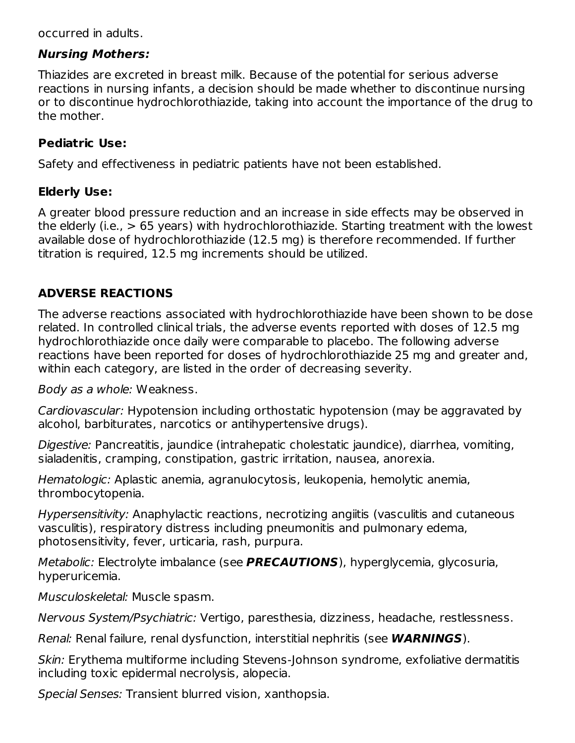occurred in adults.

#### **Nursing Mothers:**

Thiazides are excreted in breast milk. Because of the potential for serious adverse reactions in nursing infants, a decision should be made whether to discontinue nursing or to discontinue hydrochlorothiazide, taking into account the importance of the drug to the mother.

#### **Pediatric Use:**

Safety and effectiveness in pediatric patients have not been established.

#### **Elderly Use:**

A greater blood pressure reduction and an increase in side effects may be observed in the elderly (i.e., > 65 years) with hydrochlorothiazide. Starting treatment with the lowest available dose of hydrochlorothiazide (12.5 mg) is therefore recommended. If further titration is required, 12.5 mg increments should be utilized.

### **ADVERSE REACTIONS**

The adverse reactions associated with hydrochlorothiazide have been shown to be dose related. In controlled clinical trials, the adverse events reported with doses of 12.5 mg hydrochlorothiazide once daily were comparable to placebo. The following adverse reactions have been reported for doses of hydrochlorothiazide 25 mg and greater and, within each category, are listed in the order of decreasing severity.

Body as a whole: Weakness.

Cardiovascular: Hypotension including orthostatic hypotension (may be aggravated by alcohol, barbiturates, narcotics or antihypertensive drugs).

Digestive: Pancreatitis, jaundice (intrahepatic cholestatic jaundice), diarrhea, vomiting, sialadenitis, cramping, constipation, gastric irritation, nausea, anorexia.

Hematologic: Aplastic anemia, agranulocytosis, leukopenia, hemolytic anemia, thrombocytopenia.

Hypersensitivity: Anaphylactic reactions, necrotizing angiitis (vasculitis and cutaneous vasculitis), respiratory distress including pneumonitis and pulmonary edema, photosensitivity, fever, urticaria, rash, purpura.

Metabolic: Electrolyte imbalance (see **PRECAUTIONS**), hyperglycemia, glycosuria, hyperuricemia.

Musculoskeletal: Muscle spasm.

Nervous System/Psychiatric: Vertigo, paresthesia, dizziness, headache, restlessness.

Renal: Renal failure, renal dysfunction, interstitial nephritis (see **WARNINGS**).

Skin: Erythema multiforme including Stevens-Johnson syndrome, exfoliative dermatitis including toxic epidermal necrolysis, alopecia.

Special Senses: Transient blurred vision, xanthopsia.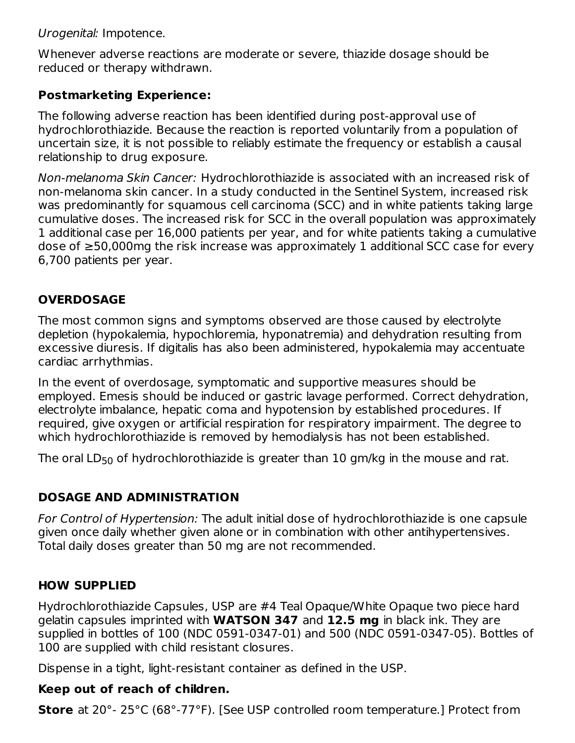Urogenital: Impotence.

Whenever adverse reactions are moderate or severe, thiazide dosage should be reduced or therapy withdrawn.

### **Postmarketing Experience:**

The following adverse reaction has been identified during post-approval use of hydrochlorothiazide. Because the reaction is reported voluntarily from a population of uncertain size, it is not possible to reliably estimate the frequency or establish a causal relationship to drug exposure.

Non-melanoma Skin Cancer: Hydrochlorothiazide is associated with an increased risk of non-melanoma skin cancer. In a study conducted in the Sentinel System, increased risk was predominantly for squamous cell carcinoma (SCC) and in white patients taking large cumulative doses. The increased risk for SCC in the overall population was approximately 1 additional case per 16,000 patients per year, and for white patients taking a cumulative dose of ≥50,000mg the risk increase was approximately 1 additional SCC case for every 6,700 patients per year.

### **OVERDOSAGE**

The most common signs and symptoms observed are those caused by electrolyte depletion (hypokalemia, hypochloremia, hyponatremia) and dehydration resulting from excessive diuresis. If digitalis has also been administered, hypokalemia may accentuate cardiac arrhythmias.

In the event of overdosage, symptomatic and supportive measures should be employed. Emesis should be induced or gastric lavage performed. Correct dehydration, electrolyte imbalance, hepatic coma and hypotension by established procedures. If required, give oxygen or artificial respiration for respiratory impairment. The degree to which hydrochlorothiazide is removed by hemodialysis has not been established.

The oral  $\mathsf{LD}_{50}$  of hydrochlorothiazide is greater than  $10$  gm/kg in the mouse and rat.

### **DOSAGE AND ADMINISTRATION**

For Control of Hypertension: The adult initial dose of hydrochlorothiazide is one capsule given once daily whether given alone or in combination with other antihypertensives. Total daily doses greater than 50 mg are not recommended.

### **HOW SUPPLIED**

Hydrochlorothiazide Capsules, USP are #4 Teal Opaque/White Opaque two piece hard gelatin capsules imprinted with **WATSON 347** and **12.5 mg** in black ink. They are supplied in bottles of 100 (NDC 0591-0347-01) and 500 (NDC 0591-0347-05). Bottles of 100 are supplied with child resistant closures.

Dispense in a tight, light-resistant container as defined in the USP.

### **Keep out of reach of children.**

**Store** at 20°- 25°C (68°-77°F). [See USP controlled room temperature.] Protect from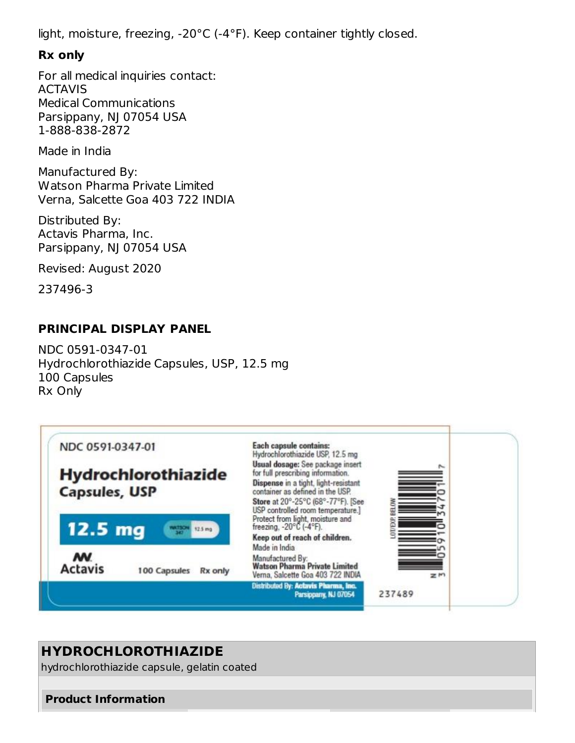light, moisture, freezing, -20°C (-4°F). Keep container tightly closed.

### **Rx only**

For all medical inquiries contact: ACTAVIS Medical Communications Parsippany, NJ 07054 USA 1-888-838-2872

Made in India

Manufactured By: Watson Pharma Private Limited Verna, Salcette Goa 403 722 INDIA

Distributed By: Actavis Pharma, Inc. Parsippany, NJ 07054 USA

Revised: August 2020

237496-3

### **PRINCIPAL DISPLAY PANEL**

NDC 0591-0347-01 Hydrochlorothiazide Capsules, USP, 12.5 mg 100 Capsules Rx Only



# **HYDROCHLOROTHIAZIDE**

hydrochlorothiazide capsule, gelatin coated

#### **Product Information**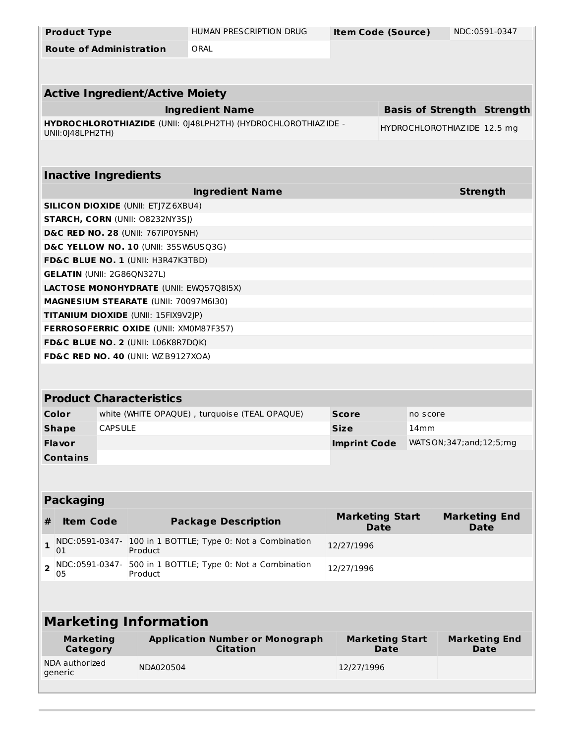| <b>Product Type</b>                               |  |                                           | HUMAN PRESCRIPTION DRUG                                       | <b>Item Code (Source)</b> |                                       |          | NDC:0591-0347               |                                   |  |  |
|---------------------------------------------------|--|-------------------------------------------|---------------------------------------------------------------|---------------------------|---------------------------------------|----------|-----------------------------|-----------------------------------|--|--|
| <b>Route of Administration</b>                    |  |                                           | ORAL                                                          |                           |                                       |          |                             |                                   |  |  |
|                                                   |  |                                           |                                                               |                           |                                       |          |                             |                                   |  |  |
|                                                   |  |                                           |                                                               |                           |                                       |          |                             |                                   |  |  |
| <b>Active Ingredient/Active Moiety</b>            |  |                                           |                                                               |                           |                                       |          |                             |                                   |  |  |
|                                                   |  |                                           | <b>Ingredient Name</b>                                        |                           |                                       |          |                             | <b>Basis of Strength Strength</b> |  |  |
|                                                   |  |                                           | HYDROCHLOROTHIAZIDE (UNII: 0)48LPH2TH) (HYDROCHLOROTHIAZIDE - |                           |                                       |          | HYDROCHLOROTHIAZIDE 12.5 mg |                                   |  |  |
| UNII:0J48LPH2TH)                                  |  |                                           |                                                               |                           |                                       |          |                             |                                   |  |  |
|                                                   |  |                                           |                                                               |                           |                                       |          |                             |                                   |  |  |
| <b>Inactive Ingredients</b>                       |  |                                           |                                                               |                           |                                       |          |                             |                                   |  |  |
|                                                   |  |                                           | <b>Ingredient Name</b>                                        |                           |                                       |          |                             | <b>Strength</b>                   |  |  |
|                                                   |  | <b>SILICON DIOXIDE (UNII: ETJ7Z6XBU4)</b> |                                                               |                           |                                       |          |                             |                                   |  |  |
| STARCH, CORN (UNII: O8232NY3SJ)                   |  |                                           |                                                               |                           |                                       |          |                             |                                   |  |  |
| <b>D&amp;C RED NO. 28 (UNII: 767IP0Y5NH)</b>      |  |                                           |                                                               |                           |                                       |          |                             |                                   |  |  |
| D&C YELLOW NO. 10 (UNII: 35SW5USQ3G)              |  |                                           |                                                               |                           |                                       |          |                             |                                   |  |  |
| FD&C BLUE NO. 1 (UNII: H3R47K3TBD)                |  |                                           |                                                               |                           |                                       |          |                             |                                   |  |  |
| <b>GELATIN (UNII: 2G86QN327L)</b>                 |  |                                           |                                                               |                           |                                       |          |                             |                                   |  |  |
| <b>LACTOSE MONOHYDRATE (UNII: EWQ57Q8I5X)</b>     |  |                                           |                                                               |                           |                                       |          |                             |                                   |  |  |
| MAGNESIUM STEARATE (UNII: 70097M6I30)             |  |                                           |                                                               |                           |                                       |          |                             |                                   |  |  |
| TITANIUM DIOXIDE (UNII: 15FIX9V2JP)               |  |                                           |                                                               |                           |                                       |          |                             |                                   |  |  |
| FERROSOFERRIC OXIDE (UNII: XM0M87F357)            |  |                                           |                                                               |                           |                                       |          |                             |                                   |  |  |
| FD&C BLUE NO. 2 (UNII: L06K8R7DQK)                |  |                                           |                                                               |                           |                                       |          |                             |                                   |  |  |
| FD&C RED NO. 40 (UNII: WZB9127XOA)                |  |                                           |                                                               |                           |                                       |          |                             |                                   |  |  |
|                                                   |  |                                           |                                                               |                           |                                       |          |                             |                                   |  |  |
|                                                   |  |                                           |                                                               |                           |                                       |          |                             |                                   |  |  |
| <b>Product Characteristics</b><br>Color           |  |                                           | white (WHITE OPAQUE), turquoise (TEAL OPAQUE)                 | <b>Score</b>              |                                       | no score |                             |                                   |  |  |
| <b>CAPSULE</b><br><b>Shape</b>                    |  |                                           |                                                               | <b>Size</b>               | 14mm                                  |          |                             |                                   |  |  |
| <b>Flavor</b>                                     |  |                                           |                                                               |                           | Imprint Code   WATSON;347;and;12;5;mg |          |                             |                                   |  |  |
| <b>Contains</b>                                   |  |                                           |                                                               |                           |                                       |          |                             |                                   |  |  |
|                                                   |  |                                           |                                                               |                           |                                       |          |                             |                                   |  |  |
|                                                   |  |                                           |                                                               |                           |                                       |          |                             |                                   |  |  |
| <b>Packaging</b>                                  |  |                                           |                                                               |                           |                                       |          |                             |                                   |  |  |
|                                                   |  |                                           |                                                               | <b>Marketing Start</b>    |                                       |          | <b>Marketing End</b>        |                                   |  |  |
| <b>Item Code</b><br>#                             |  |                                           | <b>Package Description</b>                                    |                           | <b>Date</b>                           |          |                             | <b>Date</b>                       |  |  |
| NDC:0591-0347-<br>1<br>Product<br>01              |  |                                           | 100 in 1 BOTTLE; Type 0: Not a Combination                    | 12/27/1996                |                                       |          |                             |                                   |  |  |
| NDC:0591-0347-<br>$\overline{2}$<br>05<br>Product |  |                                           | 500 in 1 BOTTLE; Type 0: Not a Combination                    | 12/27/1996                |                                       |          |                             |                                   |  |  |
|                                                   |  |                                           |                                                               |                           |                                       |          |                             |                                   |  |  |
| <b>Marketing Information</b>                      |  |                                           |                                                               |                           |                                       |          |                             |                                   |  |  |
| <b>Marketing</b>                                  |  |                                           | <b>Application Number or Monograph</b>                        |                           | <b>Marketing Start</b>                |          |                             | <b>Marketing End</b>              |  |  |
| <b>Category</b>                                   |  |                                           | <b>Citation</b>                                               |                           | <b>Date</b>                           |          |                             | <b>Date</b>                       |  |  |
| NDA authorized<br>generic                         |  | NDA020504                                 |                                                               | 12/27/1996                |                                       |          |                             |                                   |  |  |
|                                                   |  |                                           |                                                               |                           |                                       |          |                             |                                   |  |  |
|                                                   |  |                                           |                                                               |                           |                                       |          |                             |                                   |  |  |